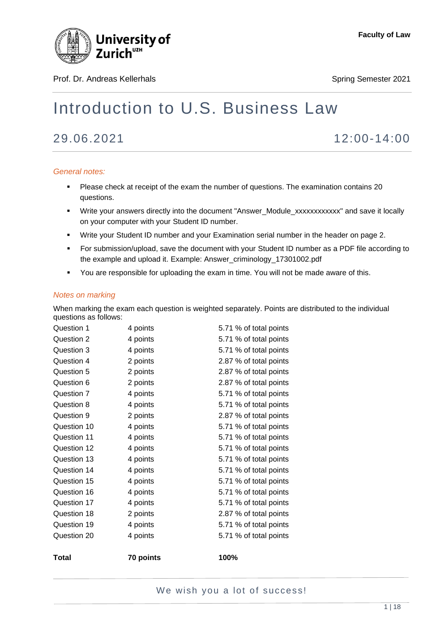

Prof. Dr. Andreas Kellerhals Spring Semester 2021

# Introduction to U.S. Business Law

29.06.2021 12:00-14:00

#### *General notes:*

- Please check at receipt of the exam the number of questions. The examination contains 20 questions.
- Write your answers directly into the document "Answer\_Module\_xxxxxxxxxxxx" and save it locally on your computer with your Student ID number.
- Write your Student ID number and your Examination serial number in the header on page 2.
- For submission/upload, save the document with your Student ID number as a PDF file according to the example and upload it. Example: Answer\_criminology\_17301002.pdf
- You are responsible for uploading the exam in time. You will not be made aware of this.

#### *Notes on marking*

When marking the exam each question is weighted separately. Points are distributed to the individual questions as follows:

| Question 1   | 4 points  | 5.71 % of total points |
|--------------|-----------|------------------------|
| Question 2   | 4 points  | 5.71 % of total points |
| Question 3   | 4 points  | 5.71 % of total points |
| Question 4   | 2 points  | 2.87 % of total points |
| Question 5   | 2 points  | 2.87 % of total points |
| Question 6   | 2 points  | 2.87 % of total points |
| Question 7   | 4 points  | 5.71 % of total points |
| Question 8   | 4 points  | 5.71 % of total points |
| Question 9   | 2 points  | 2.87 % of total points |
| Question 10  | 4 points  | 5.71 % of total points |
| Question 11  | 4 points  | 5.71 % of total points |
| Question 12  | 4 points  | 5.71 % of total points |
| Question 13  | 4 points  | 5.71 % of total points |
| Question 14  | 4 points  | 5.71 % of total points |
| Question 15  | 4 points  | 5.71 % of total points |
| Question 16  | 4 points  | 5.71 % of total points |
| Question 17  | 4 points  | 5.71 % of total points |
| Question 18  | 2 points  | 2.87 % of total points |
| Question 19  | 4 points  | 5.71 % of total points |
| Question 20  | 4 points  | 5.71 % of total points |
| <b>Total</b> | 70 points | 100%                   |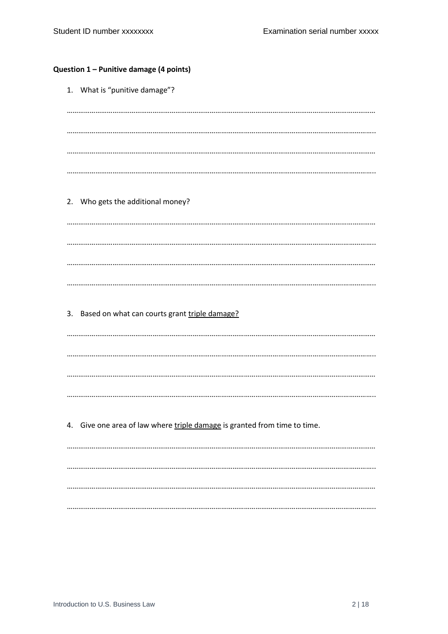#### Question 1 - Punitive damage (4 points)

1. What is "punitive damage"? 2. Who gets the additional money? 3. Based on what can courts grant triple damage? 4. Give one area of law where triple damage is granted from time to time.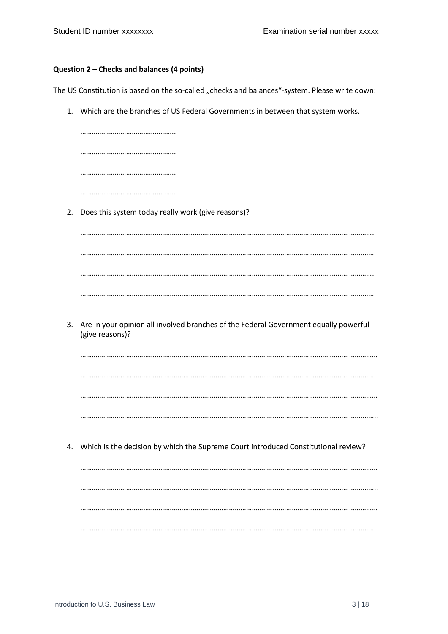#### **Question 2 – Checks and balances (4 points)**

The US Constitution is based on the so-called "checks and balances"-system. Please write down:

1. Which are the branches of US Federal Governments in between that system works.

| 2. | Does this system today really work (give reasons)?                                                      |
|----|---------------------------------------------------------------------------------------------------------|
|    |                                                                                                         |
|    |                                                                                                         |
|    |                                                                                                         |
|    |                                                                                                         |
|    |                                                                                                         |
| 3. | Are in your opinion all involved branches of the Federal Government equally powerful<br>(give reasons)? |
|    |                                                                                                         |
|    |                                                                                                         |
|    |                                                                                                         |
|    |                                                                                                         |
|    |                                                                                                         |
|    | 4. Which is the decision by which the Supreme Court introduced Constitutional review?                   |
|    |                                                                                                         |
|    |                                                                                                         |
|    |                                                                                                         |
|    |                                                                                                         |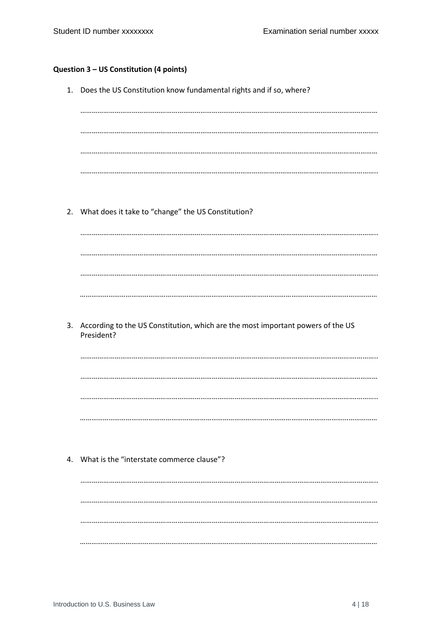# Question 3 - US Constitution (4 points)

|    | 1. Does the US Constitution know fundamental rights and if so, where?           |
|----|---------------------------------------------------------------------------------|
|    |                                                                                 |
|    |                                                                                 |
|    |                                                                                 |
|    |                                                                                 |
|    |                                                                                 |
|    |                                                                                 |
|    |                                                                                 |
|    |                                                                                 |
|    |                                                                                 |
|    | 2. What does it take to "change" the US Constitution?                           |
|    |                                                                                 |
|    |                                                                                 |
|    |                                                                                 |
|    |                                                                                 |
|    |                                                                                 |
|    |                                                                                 |
|    |                                                                                 |
|    |                                                                                 |
|    |                                                                                 |
| 3. | According to the US Constitution, which are the most important powers of the US |
|    | President?                                                                      |
|    |                                                                                 |
|    |                                                                                 |
|    |                                                                                 |
|    |                                                                                 |
|    |                                                                                 |
|    |                                                                                 |
|    |                                                                                 |
|    |                                                                                 |
|    |                                                                                 |
|    | 4. What is the "interstate commerce clause"?                                    |
|    |                                                                                 |
|    |                                                                                 |
|    |                                                                                 |
|    |                                                                                 |
|    |                                                                                 |
|    |                                                                                 |
|    |                                                                                 |
|    |                                                                                 |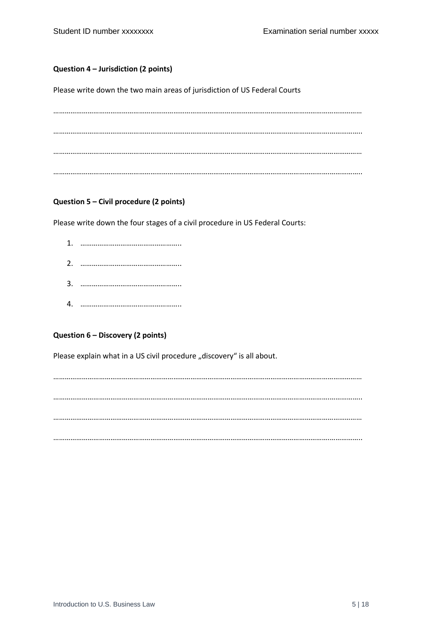#### **Question 4 – Jurisdiction (2 points)**

Please write down the two main areas of jurisdiction of US Federal Courts

……………………………………………………………………………………………………………………………………………… ……………………………………………………………………………………………………………………………….…………….. ……………………………………………………………………………………………………………………………………………… ……………………………………………………………………………………………………………………………….……………..

#### **Question 5 – Civil procedure (2 points)**

Please write down the four stages of a civil procedure in US Federal Courts:

- 1. ……………………………………………..
- 2. ……………………………………………..
- 3. ……………………………………………..
- 4. ……………………………………………..

### **Question 6 – Discovery (2 points)**

Please explain what in a US civil procedure "discovery" is all about.

……………………………………………………………………………………………………………………………………………… ……………………………………………………………………………………………………………………………….…………….. ……………………………………………………………………………………………………………………………………………… ……………………………………………………………………………………………………………………………….……………..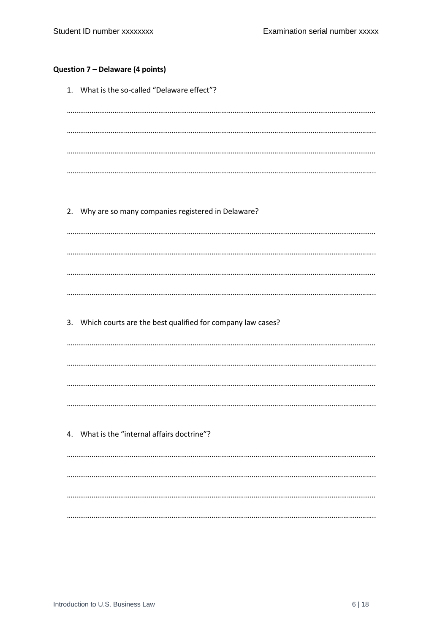# Question 7 - Delaware (4 points)

| 1. What is the so-called "Delaware effect"?                   |
|---------------------------------------------------------------|
|                                                               |
|                                                               |
|                                                               |
|                                                               |
| 2. Why are so many companies registered in Delaware?          |
|                                                               |
|                                                               |
|                                                               |
|                                                               |
| 3. Which courts are the best qualified for company law cases? |
|                                                               |
|                                                               |
|                                                               |
|                                                               |
|                                                               |
| 4. What is the "internal affairs doctrine"?                   |
|                                                               |
|                                                               |
|                                                               |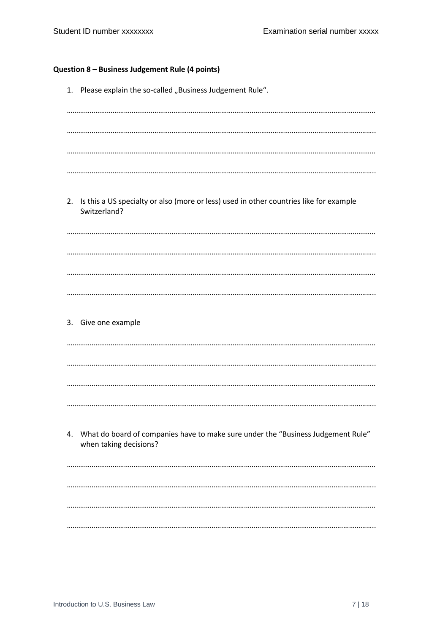# Question 8 - Business Judgement Rule (4 points)

|    | 1. Please explain the so-called "Business Judgement Rule".                                                    |
|----|---------------------------------------------------------------------------------------------------------------|
|    |                                                                                                               |
|    |                                                                                                               |
|    |                                                                                                               |
| 2. | Is this a US specialty or also (more or less) used in other countries like for example<br>Switzerland?        |
|    |                                                                                                               |
|    |                                                                                                               |
|    |                                                                                                               |
|    | 3. Give one example                                                                                           |
|    |                                                                                                               |
|    |                                                                                                               |
|    |                                                                                                               |
|    | 4. What do board of companies have to make sure under the "Business Judgement Rule"<br>when taking decisions? |
|    |                                                                                                               |
|    |                                                                                                               |
|    |                                                                                                               |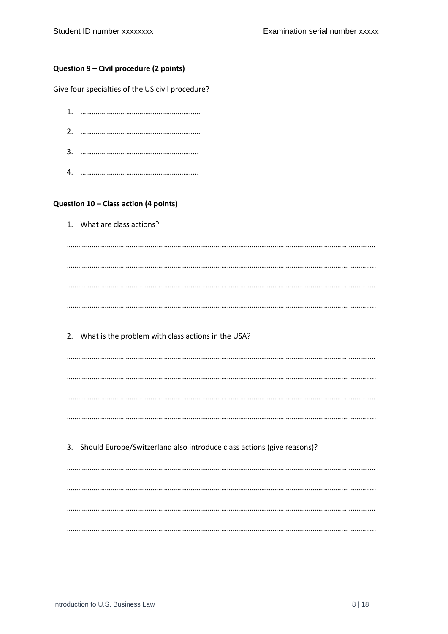#### Question 9 - Civil procedure (2 points)

Give four specialties of the US civil procedure?

### Question 10 - Class action (4 points)

|    | 1. What are class actions?                                             |
|----|------------------------------------------------------------------------|
|    |                                                                        |
|    |                                                                        |
|    |                                                                        |
|    |                                                                        |
| 2. | What is the problem with class actions in the USA?                     |
|    |                                                                        |
|    |                                                                        |
|    |                                                                        |
|    |                                                                        |
| 3. | Should Europe/Switzerland also introduce class actions (give reasons)? |
|    |                                                                        |
|    |                                                                        |
|    |                                                                        |
|    |                                                                        |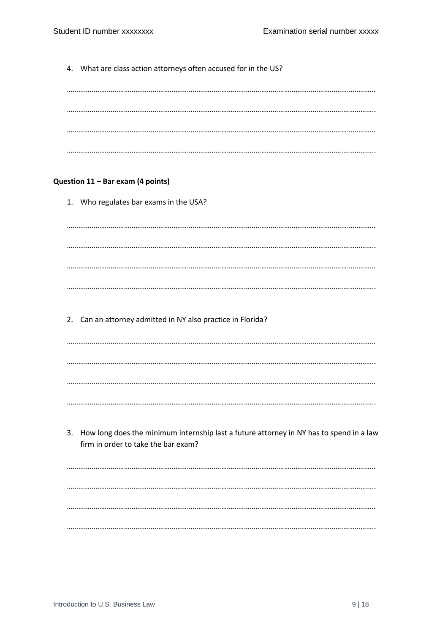4. What are class action attorneys often accused for in the US? Question 11 - Bar exam (4 points) 1. Who regulates bar exams in the USA? 2. Can an attorney admitted in NY also practice in Florida? 3. How long does the minimum internship last a future attorney in NY has to spend in a law firm in order to take the bar exam?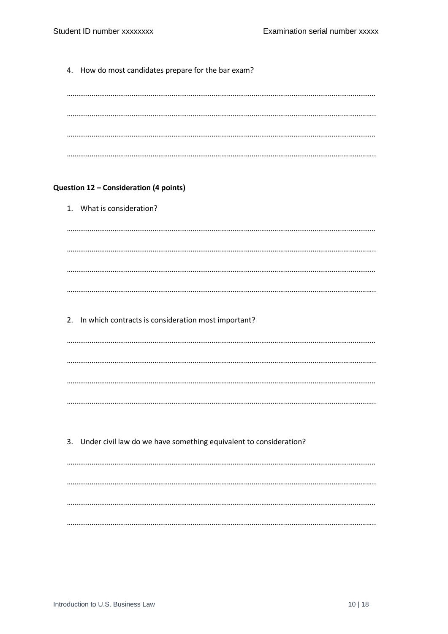4. How do most candidates prepare for the bar exam? Question 12 - Consideration (4 points) 1. What is consideration? 2. In which contracts is consideration most important? 3. Under civil law do we have something equivalent to consideration?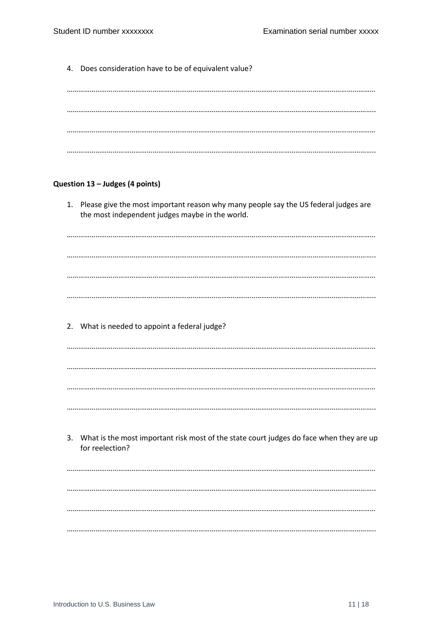4. Does consideration have to be of equivalent value? Question 13 - Judges (4 points) 1. Please give the most important reason why many people say the US federal judges are the most independent judges maybe in the world. 2. What is needed to appoint a federal judge? 3. What is the most important risk most of the state court judges do face when they are up for reelection?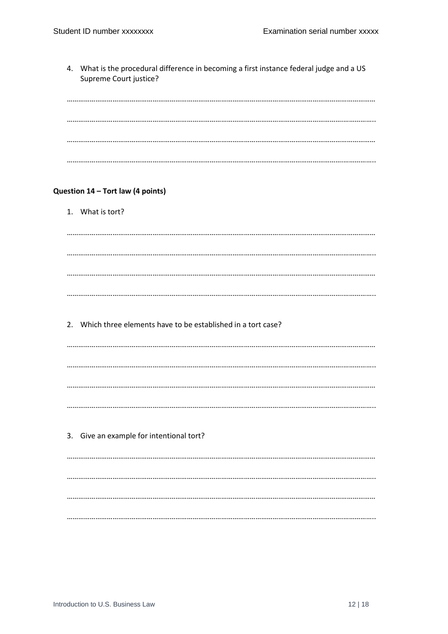4. What is the procedural difference in becoming a first instance federal judge and a US Supreme Court justice? Question 14 - Tort law (4 points) 1. What is tort? 2. Which three elements have to be established in a tort case? 3. Give an example for intentional tort?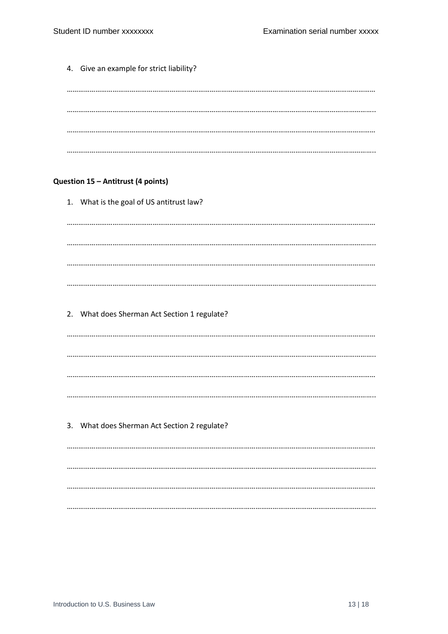|  | 4. Give an example for strict liability?     |
|--|----------------------------------------------|
|  |                                              |
|  |                                              |
|  |                                              |
|  |                                              |
|  | Question 15 - Antitrust (4 points)           |
|  | 1. What is the goal of US antitrust law?     |
|  |                                              |
|  |                                              |
|  |                                              |
|  |                                              |
|  | 2. What does Sherman Act Section 1 regulate? |
|  |                                              |
|  |                                              |
|  |                                              |
|  |                                              |
|  | 3. What does Sherman Act Section 2 regulate? |
|  |                                              |
|  |                                              |
|  |                                              |
|  |                                              |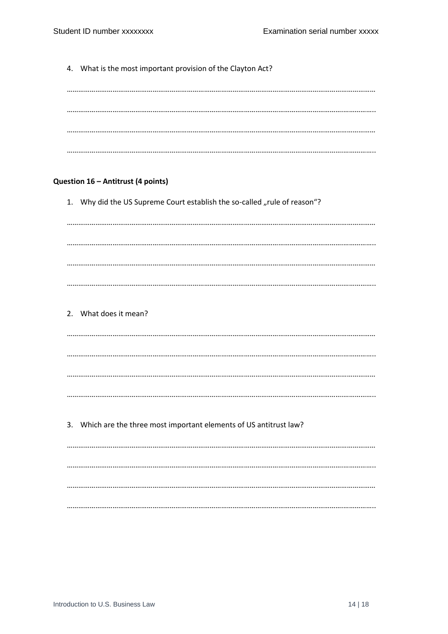4. What is the most important provision of the Clayton Act? Question 16 - Antitrust (4 points) 1. Why did the US Supreme Court establish the so-called "rule of reason"? 2. What does it mean? 3. Which are the three most important elements of US antitrust law?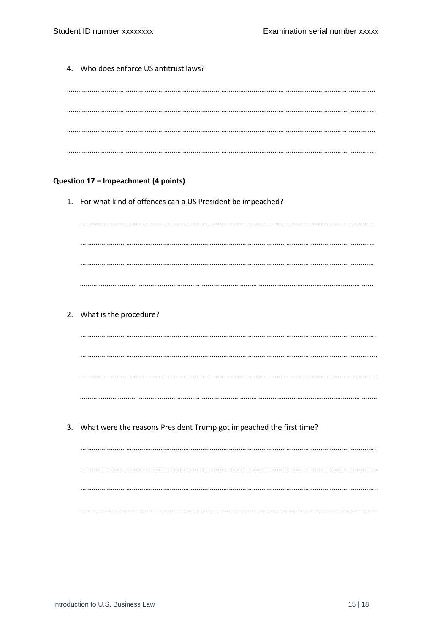4. Who does enforce US antitrust laws? Question 17 - Impeachment (4 points) 1. For what kind of offences can a US President be impeached? 2. What is the procedure? 3. What were the reasons President Trump got impeached the first time?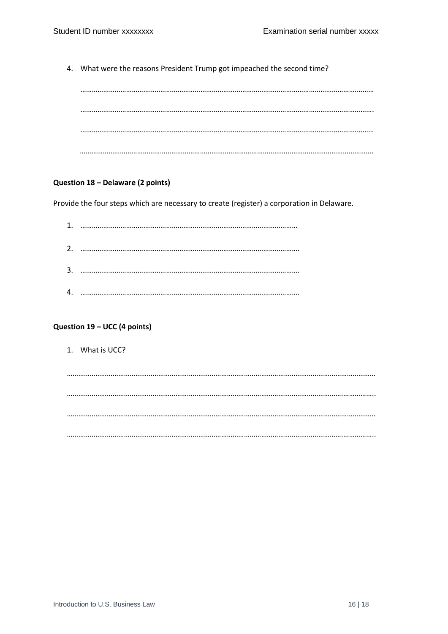4. What were the reasons President Trump got impeached the second time?

#### **Question 18 – Delaware (2 points)**

Provide the four steps which are necessary to create (register) a corporation in Delaware.

| 1. |  |
|----|--|
| 2. |  |
| 3. |  |
|    |  |

#### **Question 19 – UCC (4 points)**

1. What is UCC?

……………………………………………………………………………………………………………………………………………… ……………………………………………………………………………………………………………………………….…………….. ……………………………………………………………………………………………………………………………………………… ……………………………………………………………………………………………………………………………….……………..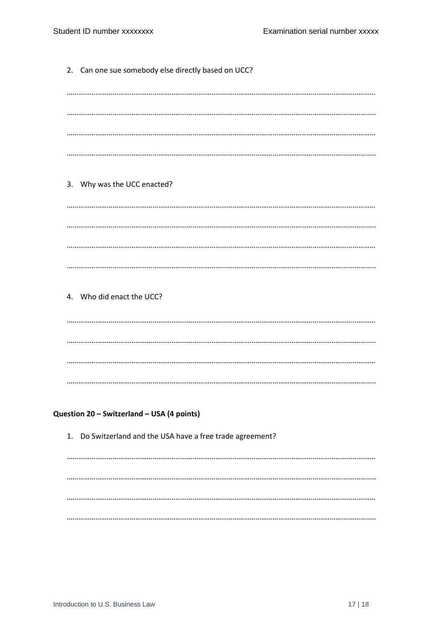2. Can one sue somebody else directly based on UCC? 3. Why was the UCC enacted? 4. Who did enact the UCC? Question 20 - Switzerland - USA (4 points) 1. Do Switzerland and the USA have a free trade agreement?